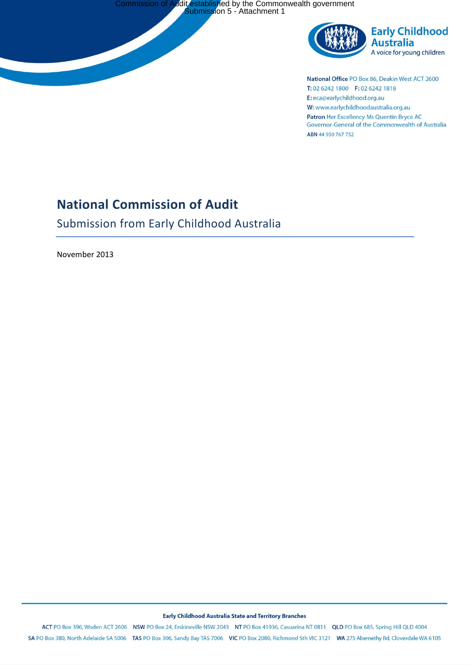

National Office PO Box 86, Deakin West ACT 2600 T: 02 6242 1800 F: 02 6242 1818 E: eca@earlychildhood.org.au W: www.earlychildhoodaustralia.org.au Patron Her Excellency Ms Quentin Bryce AC Governor-General of the Commonwealth of Australia ABN 44 950 767 752

# **National Commission of Audit**

Submission from Early Childhood Australia

November 2013

#### Early Childhood Australia State and Territory Branches

ACT PO Box 396, Woden ACT 2606 NSW PO Box 24, Erskineville NSW 2043 NT PO Box 41936, Casuarina NT 0811 QLD PO Box 685, Spring Hill QLD 4004 SA PO Box 380, North Adelaide SA 5006 TAS PO Box 306, Sandy Bay TAS 7006 VIC PO Box 2080, Richmond Sth VIC 3121 WA 275 Abernethy Rd, Cloverdale WA 6105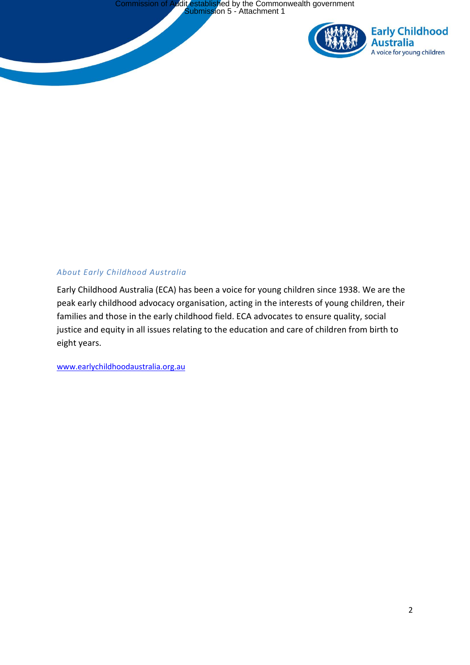

# *About Early Childhood Australia*

Early Childhood Australia (ECA) has been a voice for young children since 1938. We are the peak early childhood advocacy organisation, acting in the interests of young children, their families and those in the early childhood field. ECA advocates to ensure quality, social justice and equity in all issues relating to the education and care of children from birth to eight years.

[www.earlychildhoodaustralia.org.au](http://www.earlychildhoodaustralia.org.au/)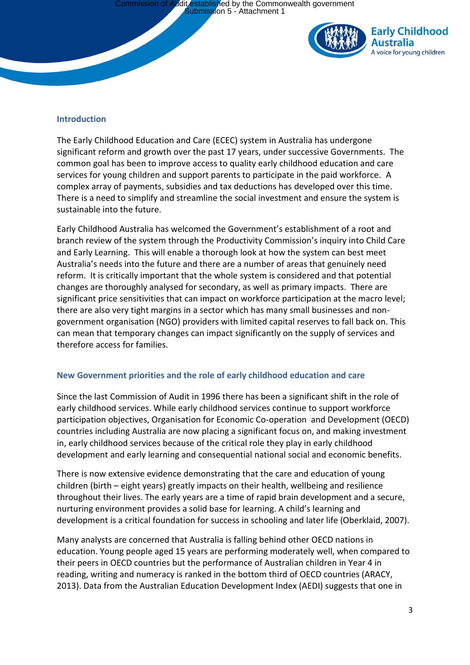

#### **Introduction**

The Early Childhood Education and Care (ECEC) system in Australia has undergone significant reform and growth over the past 17 years, under successive Governments. The common goal has been to improve access to quality early childhood education and care services for young children and support parents to participate in the paid workforce. A complex array of payments, subsidies and tax deductions has developed over this time. There is a need to simplify and streamline the social investment and ensure the system is sustainable into the future.

Early Childhood Australia has welcomed the Government's establishment of a root and branch review of the system through the Productivity Commission's inquiry into Child Care and Early Learning. This will enable a thorough look at how the system can best meet Australia's needs into the future and there are a number of areas that genuinely need reform. It is critically important that the whole system is considered and that potential changes are thoroughly analysed for secondary, as well as primary impacts. There are significant price sensitivities that can impact on workforce participation at the macro level; there are also very tight margins in a sector which has many small businesses and nongovernment organisation (NGO) providers with limited capital reserves to fall back on. This can mean that temporary changes can impact significantly on the supply of services and therefore access for families.

# **New Government priorities and the role of early childhood education and care**

Since the last Commission of Audit in 1996 there has been a significant shift in the role of early childhood services. While early childhood services continue to support workforce participation objectives, Organisation for Economic Co-operation and Development (OECD) countries including Australia are now placing a significant focus on, and making investment in, early childhood services because of the critical role they play in early childhood development and early learning and consequential national social and economic benefits.

There is now extensive evidence demonstrating that the care and education of young children (birth – eight years) greatly impacts on their health, wellbeing and resilience throughout their lives. The early years are a time of rapid brain development and a secure, nurturing environment provides a solid base for learning. A child's learning and development is a critical foundation for success in schooling and later life (Oberklaid, 2007).

Many analysts are concerned that Australia is falling behind other OECD nations in education. Young people aged 15 years are performing moderately well, when compared to their peers in OECD countries but the performance of Australian children in Year 4 in reading, writing and numeracy is ranked in the bottom third of OECD countries (ARACY, 2013). Data from the Australian Education Development Index (AEDI) suggests that one in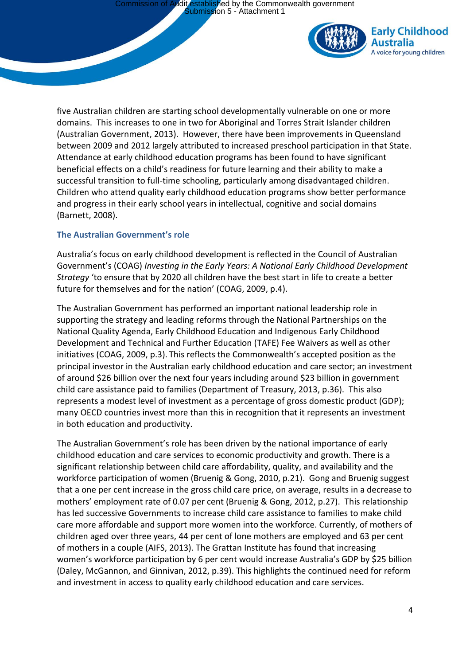

five Australian children are starting school developmentally vulnerable on one or more domains. This increases to one in two for Aboriginal and Torres Strait Islander children (Australian Government, 2013). However, there have been improvements in Queensland between 2009 and 2012 largely attributed to increased preschool participation in that State. Attendance at early childhood education programs has been found to have significant beneficial effects on a child's readiness for future learning and their ability to make a successful transition to full-time schooling, particularly among disadvantaged children. Children who attend quality early childhood education programs show better performance and progress in their early school years in intellectual, cognitive and social domains (Barnett, 2008).

# **The Australian Government's role**

Australia's focus on early childhood development is reflected in the Council of Australian Government's (COAG) *Investing in the Early Years: A National Early Childhood Development Strategy* 'to ensure that by 2020 all children have the best start in life to create a better future for themselves and for the nation' (COAG, 2009, p.4).

The Australian Government has performed an important national leadership role in supporting the strategy and leading reforms through the National Partnerships on the National Quality Agenda, Early Childhood Education and Indigenous Early Childhood Development and Technical and Further Education (TAFE) Fee Waivers as well as other initiatives (COAG, 2009, p.3). This reflects the Commonwealth's accepted position as the principal investor in the Australian early childhood education and care sector; an investment of around \$26 billion over the next four years including around \$23 billion in government child care assistance paid to families (Department of Treasury, 2013, p.36). This also represents a modest level of investment as a percentage of gross domestic product (GDP); many OECD countries invest more than this in recognition that it represents an investment in both education and productivity.

The Australian Government's role has been driven by the national importance of early childhood education and care services to economic productivity and growth. There is a significant relationship between child care affordability, quality, and availability and the workforce participation of women (Bruenig & Gong, 2010, p.21). Gong and Bruenig suggest that a one per cent increase in the gross child care price, on average, results in a decrease to mothers' employment rate of 0.07 per cent (Bruenig & Gong, 2012, p.27). This relationship has led successive Governments to increase child care assistance to families to make child care more affordable and support more women into the workforce. Currently, of mothers of children aged over three years, 44 per cent of lone mothers are employed and 63 per cent of mothers in a couple (AIFS, 2013). The Grattan Institute has found that increasing women's workforce participation by 6 per cent would increase Australia's GDP by \$25 billion (Daley, McGannon, and Ginnivan, 2012, p.39). This highlights the continued need for reform and investment in access to quality early childhood education and care services.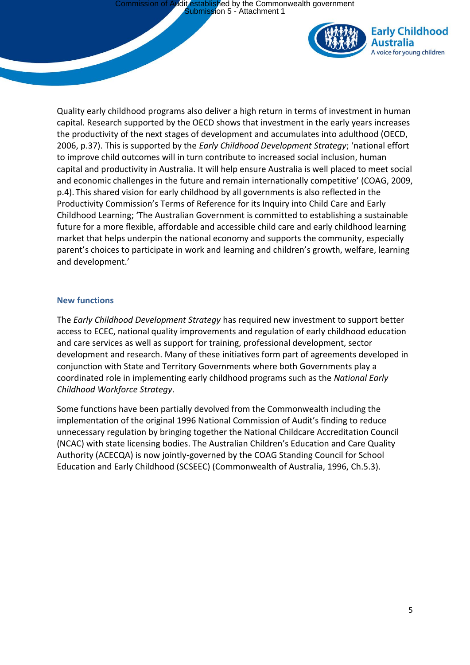

Quality early childhood programs also deliver a high return in terms of investment in human capital. Research supported by the OECD shows that investment in the early years increases the productivity of the next stages of development and accumulates into adulthood (OECD, 2006, p.37). This is supported by the *Early Childhood Development Strategy*; 'national effort to improve child outcomes will in turn contribute to increased social inclusion, human capital and productivity in Australia. It will help ensure Australia is well placed to meet social and economic challenges in the future and remain internationally competitive' (COAG, 2009, p.4). This shared vision for early childhood by all governments is also reflected in the Productivity Commission's Terms of Reference for its Inquiry into Child Care and Early Childhood Learning; 'The Australian Government is committed to establishing a sustainable future for a more flexible, affordable and accessible child care and early childhood learning market that helps underpin the national economy and supports the community, especially parent's choices to participate in work and learning and children's growth, welfare, learning and development.'

### **New functions**

The *Early Childhood Development Strategy* has required new investment to support better access to ECEC, national quality improvements and regulation of early childhood education and care services as well as support for training, professional development, sector development and research. Many of these initiatives form part of agreements developed in conjunction with State and Territory Governments where both Governments play a coordinated role in implementing early childhood programs such as the *National Early Childhood Workforce Strategy*.

Some functions have been partially devolved from the Commonwealth including the implementation of the original 1996 National Commission of Audit's finding to reduce unnecessary regulation by bringing together the National Childcare Accreditation Council (NCAC) with state licensing bodies. The Australian Children's Education and Care Quality Authority (ACECQA) is now jointly-governed by the COAG Standing Council for School Education and Early Childhood (SCSEEC) (Commonwealth of Australia, 1996, Ch.5.3).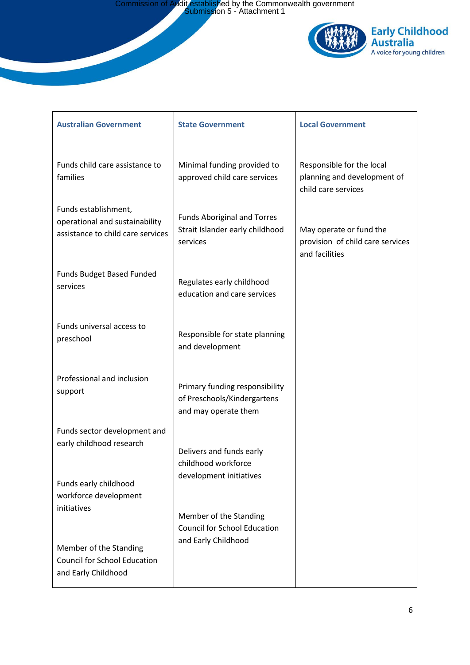Commission of Audit established by the Commonwealth government Submission 5 - Attachment 1



| <b>Australian Government</b>                                                                | <b>State Government</b>                                                               | <b>Local Government</b>                                                         |
|---------------------------------------------------------------------------------------------|---------------------------------------------------------------------------------------|---------------------------------------------------------------------------------|
| Funds child care assistance to<br>families                                                  | Minimal funding provided to<br>approved child care services                           | Responsible for the local<br>planning and development of<br>child care services |
| Funds establishment,<br>operational and sustainability<br>assistance to child care services | <b>Funds Aboriginal and Torres</b><br>Strait Islander early childhood<br>services     | May operate or fund the<br>provision of child care services<br>and facilities   |
| Funds Budget Based Funded<br>services                                                       | Regulates early childhood<br>education and care services                              |                                                                                 |
| Funds universal access to<br>preschool                                                      | Responsible for state planning<br>and development                                     |                                                                                 |
| Professional and inclusion<br>support                                                       | Primary funding responsibility<br>of Preschools/Kindergartens<br>and may operate them |                                                                                 |
| Funds sector development and<br>early childhood research                                    | Delivers and funds early<br>childhood workforce                                       |                                                                                 |
| Funds early childhood<br>workforce development                                              | development initiatives                                                               |                                                                                 |
| initiatives                                                                                 | Member of the Standing<br><b>Council for School Education</b>                         |                                                                                 |
| Member of the Standing<br><b>Council for School Education</b><br>and Early Childhood        | and Early Childhood                                                                   |                                                                                 |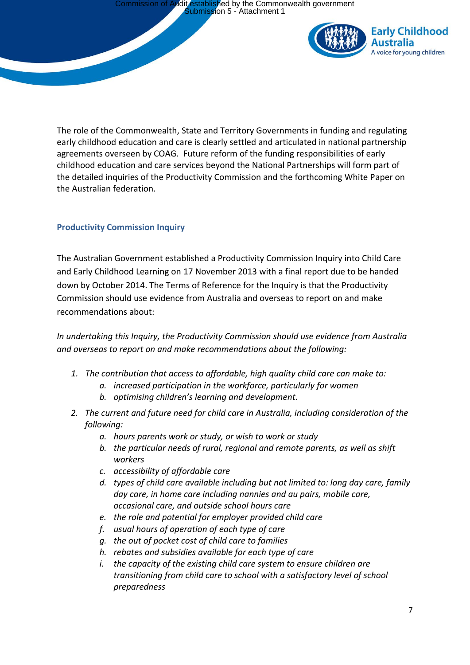

The role of the Commonwealth, State and Territory Governments in funding and regulating early childhood education and care is clearly settled and articulated in national partnership agreements overseen by COAG. Future reform of the funding responsibilities of early childhood education and care services beyond the National Partnerships will form part of the detailed inquiries of the Productivity Commission and the forthcoming White Paper on the Australian federation.

# **Productivity Commission Inquiry**

The Australian Government established a Productivity Commission Inquiry into Child Care and Early Childhood Learning on 17 November 2013 with a final report due to be handed down by October 2014. The Terms of Reference for the Inquiry is that the Productivity Commission should use evidence from Australia and overseas to report on and make recommendations about:

*In undertaking this Inquiry, the Productivity Commission should use evidence from Australia and overseas to report on and make recommendations about the following:*

- *1. The contribution that access to affordable, high quality child care can make to:*
	- *a. increased participation in the workforce, particularly for women*
		- *b. optimising children's learning and development.*
- *2. The current and future need for child care in Australia, including consideration of the following:*
	- *a. hours parents work or study, or wish to work or study*
	- *b. the particular needs of rural, regional and remote parents, as well as shift workers*
	- *c. accessibility of affordable care*
	- *d. types of child care available including but not limited to: long day care, family day care, in home care including nannies and au pairs, mobile care, occasional care, and outside school hours care*
	- *e. the role and potential for employer provided child care*
	- *f. usual hours of operation of each type of care*
	- *g. the out of pocket cost of child care to families*
	- *h. rebates and subsidies available for each type of care*
	- *i. the capacity of the existing child care system to ensure children are transitioning from child care to school with a satisfactory level of school preparedness*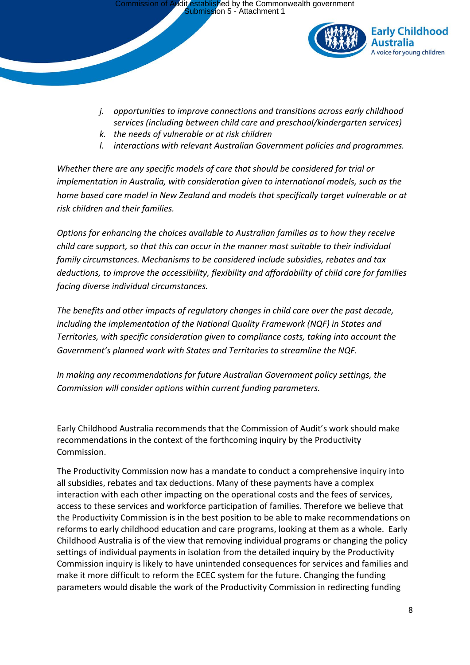

- *j. opportunities to improve connections and transitions across early childhood services (including between child care and preschool/kindergarten services)*
- *k. the needs of vulnerable or at risk children*
- *l. interactions with relevant Australian Government policies and programmes.*

*Whether there are any specific models of care that should be considered for trial or implementation in Australia, with consideration given to international models, such as the home based care model in New Zealand and models that specifically target vulnerable or at risk children and their families.*

*Options for enhancing the choices available to Australian families as to how they receive child care support, so that this can occur in the manner most suitable to their individual family circumstances. Mechanisms to be considered include subsidies, rebates and tax deductions, to improve the accessibility, flexibility and affordability of child care for families facing diverse individual circumstances.*

*The benefits and other impacts of regulatory changes in child care over the past decade, including the implementation of the National Quality Framework (NQF) in States and Territories, with specific consideration given to compliance costs, taking into account the Government's planned work with States and Territories to streamline the NQF.*

*In making any recommendations for future Australian Government policy settings, the Commission will consider options within current funding parameters.*

Early Childhood Australia recommends that the Commission of Audit's work should make recommendations in the context of the forthcoming inquiry by the Productivity Commission.

The Productivity Commission now has a mandate to conduct a comprehensive inquiry into all subsidies, rebates and tax deductions. Many of these payments have a complex interaction with each other impacting on the operational costs and the fees of services, access to these services and workforce participation of families. Therefore we believe that the Productivity Commission is in the best position to be able to make recommendations on reforms to early childhood education and care programs, looking at them as a whole. Early Childhood Australia is of the view that removing individual programs or changing the policy settings of individual payments in isolation from the detailed inquiry by the Productivity Commission inquiry is likely to have unintended consequences for services and families and make it more difficult to reform the ECEC system for the future. Changing the funding parameters would disable the work of the Productivity Commission in redirecting funding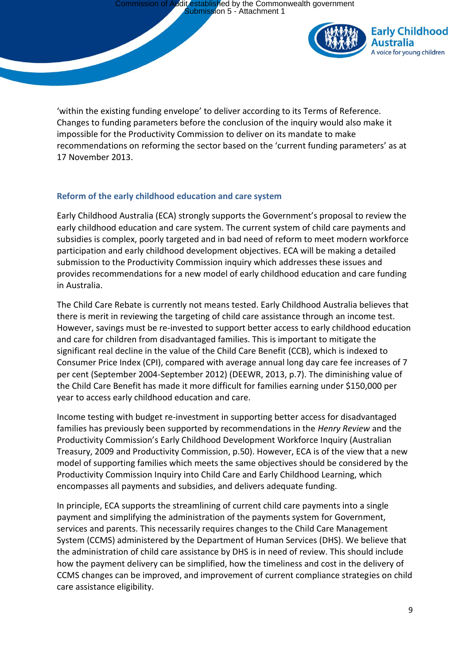

'within the existing funding envelope' to deliver according to its Terms of Reference. Changes to funding parameters before the conclusion of the inquiry would also make it impossible for the Productivity Commission to deliver on its mandate to make recommendations on reforming the sector based on the 'current funding parameters' as at 17 November 2013.

# **Reform of the early childhood education and care system**

Early Childhood Australia (ECA) strongly supports the Government's proposal to review the early childhood education and care system. The current system of child care payments and subsidies is complex, poorly targeted and in bad need of reform to meet modern workforce participation and early childhood development objectives. ECA will be making a detailed submission to the Productivity Commission inquiry which addresses these issues and provides recommendations for a new model of early childhood education and care funding in Australia.

The Child Care Rebate is currently not means tested. Early Childhood Australia believes that there is merit in reviewing the targeting of child care assistance through an income test. However, savings must be re-invested to support better access to early childhood education and care for children from disadvantaged families. This is important to mitigate the significant real decline in the value of the Child Care Benefit (CCB), which is indexed to Consumer Price Index (CPI), compared with average annual long day care fee increases of 7 per cent (September 2004-September 2012) (DEEWR, 2013, p.7). The diminishing value of the Child Care Benefit has made it more difficult for families earning under \$150,000 per year to access early childhood education and care.

Income testing with budget re-investment in supporting better access for disadvantaged families has previously been supported by recommendations in the *Henry Review* and the Productivity Commission's Early Childhood Development Workforce Inquiry (Australian Treasury, 2009 and Productivity Commission, p.50). However, ECA is of the view that a new model of supporting families which meets the same objectives should be considered by the Productivity Commission Inquiry into Child Care and Early Childhood Learning, which encompasses all payments and subsidies, and delivers adequate funding.

In principle, ECA supports the streamlining of current child care payments into a single payment and simplifying the administration of the payments system for Government, services and parents. This necessarily requires changes to the Child Care Management System (CCMS) administered by the Department of Human Services (DHS). We believe that the administration of child care assistance by DHS is in need of review. This should include how the payment delivery can be simplified, how the timeliness and cost in the delivery of CCMS changes can be improved, and improvement of current compliance strategies on child care assistance eligibility.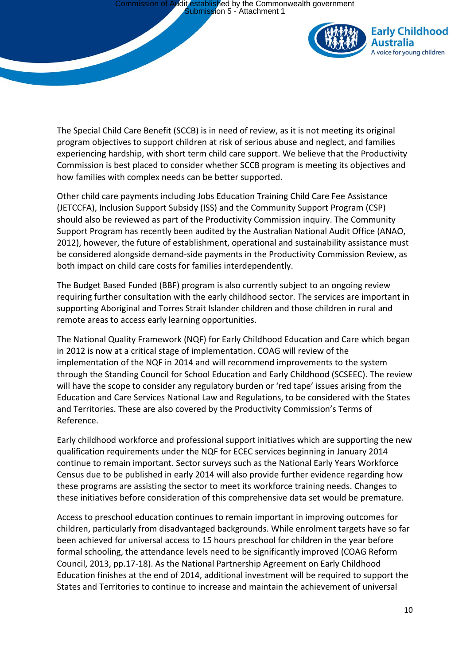

The Special Child Care Benefit (SCCB) is in need of review, as it is not meeting its original program objectives to support children at risk of serious abuse and neglect, and families experiencing hardship, with short term child care support. We believe that the Productivity Commission is best placed to consider whether SCCB program is meeting its objectives and how families with complex needs can be better supported.

Other child care payments including Jobs Education Training Child Care Fee Assistance (JETCCFA), Inclusion Support Subsidy (ISS) and the Community Support Program (CSP) should also be reviewed as part of the Productivity Commission inquiry. The Community Support Program has recently been audited by the Australian National Audit Office (ANAO, 2012), however, the future of establishment, operational and sustainability assistance must be considered alongside demand-side payments in the Productivity Commission Review, as both impact on child care costs for families interdependently.

The Budget Based Funded (BBF) program is also currently subject to an ongoing review requiring further consultation with the early childhood sector. The services are important in supporting Aboriginal and Torres Strait Islander children and those children in rural and remote areas to access early learning opportunities.

The National Quality Framework (NQF) for Early Childhood Education and Care which began in 2012 is now at a critical stage of implementation. COAG will review of the implementation of the NQF in 2014 and will recommend improvements to the system through the Standing Council for School Education and Early Childhood (SCSEEC). The review will have the scope to consider any regulatory burden or 'red tape' issues arising from the Education and Care Services National Law and Regulations, to be considered with the States and Territories. These are also covered by the Productivity Commission's Terms of Reference.

Early childhood workforce and professional support initiatives which are supporting the new qualification requirements under the NQF for ECEC services beginning in January 2014 continue to remain important. Sector surveys such as the National Early Years Workforce Census due to be published in early 2014 will also provide further evidence regarding how these programs are assisting the sector to meet its workforce training needs. Changes to these initiatives before consideration of this comprehensive data set would be premature.

Access to preschool education continues to remain important in improving outcomes for children, particularly from disadvantaged backgrounds. While enrolment targets have so far been achieved for universal access to 15 hours preschool for children in the year before formal schooling, the attendance levels need to be significantly improved (COAG Reform Council, 2013, pp.17-18). As the National Partnership Agreement on Early Childhood Education finishes at the end of 2014, additional investment will be required to support the States and Territories to continue to increase and maintain the achievement of universal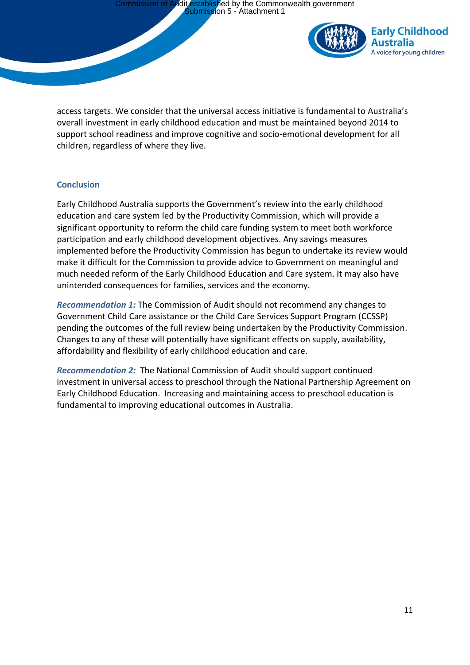

access targets. We consider that the universal access initiative is fundamental to Australia's overall investment in early childhood education and must be maintained beyond 2014 to support school readiness and improve cognitive and socio-emotional development for all children, regardless of where they live.

# **Conclusion**

Early Childhood Australia supports the Government's review into the early childhood education and care system led by the Productivity Commission, which will provide a significant opportunity to reform the child care funding system to meet both workforce participation and early childhood development objectives. Any savings measures implemented before the Productivity Commission has begun to undertake its review would make it difficult for the Commission to provide advice to Government on meaningful and much needed reform of the Early Childhood Education and Care system. It may also have unintended consequences for families, services and the economy.

*Recommendation 1:* The Commission of Audit should not recommend any changes to Government Child Care assistance or the Child Care Services Support Program (CCSSP) pending the outcomes of the full review being undertaken by the Productivity Commission. Changes to any of these will potentially have significant effects on supply, availability, affordability and flexibility of early childhood education and care.

*Recommendation 2:* The National Commission of Audit should support continued investment in universal access to preschool through the National Partnership Agreement on Early Childhood Education. Increasing and maintaining access to preschool education is fundamental to improving educational outcomes in Australia.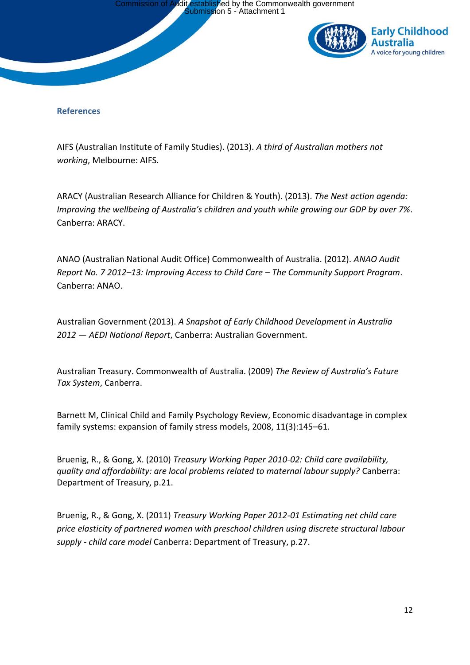

### **References**

AIFS (Australian Institute of Family Studies). (2013). *A third of Australian mothers not working*, Melbourne: AIFS.

ARACY (Australian Research Alliance for Children & Youth). (2013). *The Nest action agenda: Improving the wellbeing of Australia's children and youth while growing our GDP by over 7%*. Canberra: ARACY.

ANAO (Australian National Audit Office) Commonwealth of Australia. (2012). *ANAO Audit Report No. 7 2012–13: Improving Access to Child Care – The Community Support Program*. Canberra: ANAO.

Australian Government (2013). *A Snapshot of Early Childhood Development in Australia 2012 — AEDI National Report*, Canberra: Australian Government.

Australian Treasury. Commonwealth of Australia. (2009) *The Review of Australia's Future Tax System*, Canberra.

Barnett M, Clinical Child and Family Psychology Review, Economic disadvantage in complex family systems: expansion of family stress models, 2008, 11(3):145–61.

Bruenig, R., & Gong, X. (2010) *Treasury Working Paper 2010-02: Child care availability, quality and affordability: are local problems related to maternal labour supply?* Canberra: Department of Treasury, p.21.

Bruenig, R., & Gong, X. (2011) *Treasury Working Paper 2012-01 Estimating net child care price elasticity of partnered women with preschool children using discrete structural labour supply - child care model* Canberra: Department of Treasury, p.27.